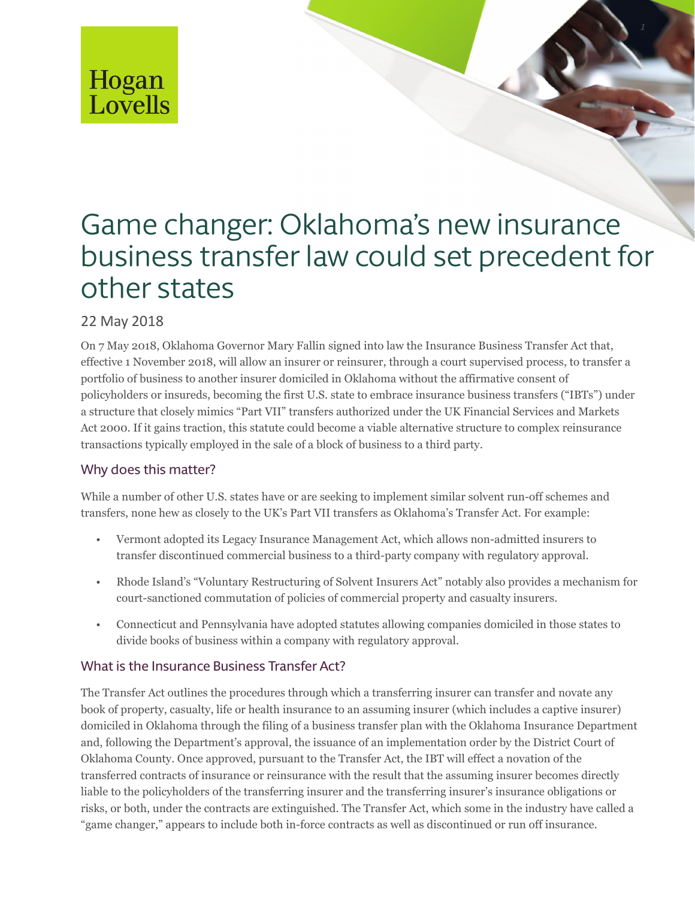

# Game changer: Oklahoma's new insurance business transfer law could set precedent for other states

# 22 May 2018

On 7 May 2018, Oklahoma Governor Mary Fallin signed into law the Insurance Business Transfer Act that, effective 1 November 2018, will allow an insurer or reinsurer, through a court supervised process, to transfer a portfolio of business to another insurer domiciled in Oklahoma without the affirmative consent of policyholders or insureds, becoming the first U.S. state to embrace insurance business transfers ("IBTs") under a structure that closely mimics "Part VII" transfers authorized under the UK Financial Services and Markets Act 2000. If it gains traction, this statute could become a viable alternative structure to complex reinsurance transactions typically employed in the sale of a block of business to a third party.

# Why does this matter?

While a number of other U.S. states have or are seeking to implement similar solvent run-off schemes and transfers, none hew as closely to the UK's Part VII transfers as Oklahoma's Transfer Act. For example:

- Vermont adopted its Legacy Insurance Management Act, which allows non-admitted insurers to transfer discontinued commercial business to a third-party company with regulatory approval.
- Rhode Island's "Voluntary Restructuring of Solvent Insurers Act" notably also provides a mechanism for court-sanctioned commutation of policies of commercial property and casualty insurers.
- Connecticut and Pennsylvania have adopted statutes allowing companies domiciled in those states to divide books of business within a company with regulatory approval.

#### What is the Insurance Business Transfer Act?

The Transfer Act outlines the procedures through which a transferring insurer can transfer and novate any book of property, casualty, life or health insurance to an assuming insurer (which includes a captive insurer) domiciled in Oklahoma through the filing of a business transfer plan with the Oklahoma Insurance Department and, following the Department's approval, the issuance of an implementation order by the District Court of Oklahoma County. Once approved, pursuant to the Transfer Act, the IBT will effect a novation of the transferred contracts of insurance or reinsurance with the result that the assuming insurer becomes directly liable to the policyholders of the transferring insurer and the transferring insurer's insurance obligations or risks, or both, under the contracts are extinguished. The Transfer Act, which some in the industry have called a "game changer," appears to include both in-force contracts as well as discontinued or run off insurance.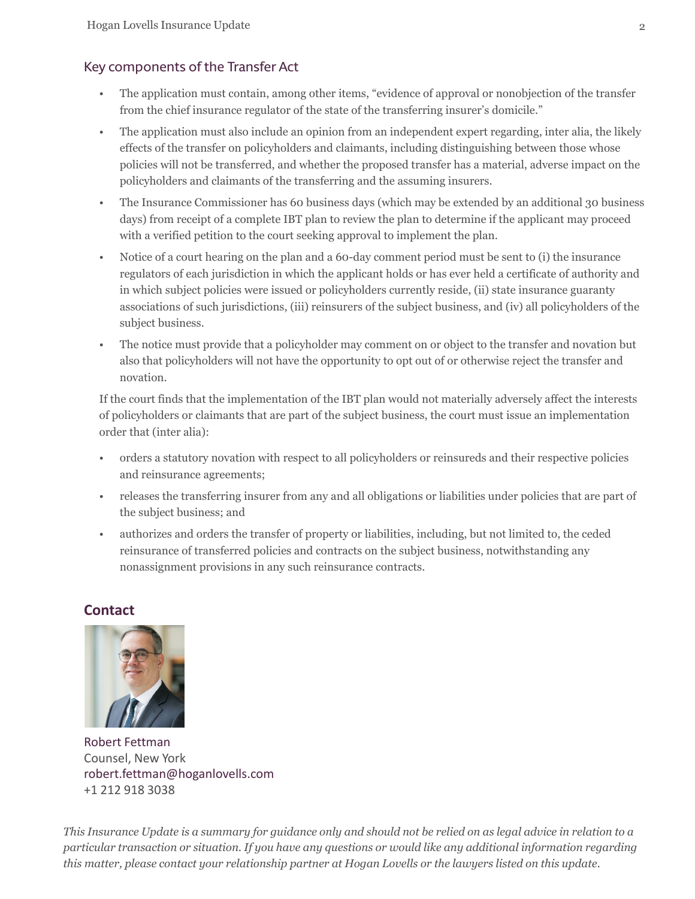# Key components of the Transfer Act

- The application must contain, among other items, "evidence of approval or nonobjection of the transfer from the chief insurance regulator of the state of the transferring insurer's domicile."
- The application must also include an opinion from an independent expert regarding, inter alia, the likely effects of the transfer on policyholders and claimants, including distinguishing between those whose policies will not be transferred, and whether the proposed transfer has a material, adverse impact on the policyholders and claimants of the transferring and the assuming insurers.
- The Insurance Commissioner has 60 business days (which may be extended by an additional 30 business days) from receipt of a complete IBT plan to review the plan to determine if the applicant may proceed with a verified petition to the court seeking approval to implement the plan.
- Notice of a court hearing on the plan and a 60-day comment period must be sent to (i) the insurance regulators of each jurisdiction in which the applicant holds or has ever held a certificate of authority and in which subject policies were issued or policyholders currently reside, (ii) state insurance guaranty associations of such jurisdictions, (iii) reinsurers of the subject business, and (iv) all policyholders of the subject business.
- The notice must provide that a policyholder may comment on or object to the transfer and novation but also that policyholders will not have the opportunity to opt out of or otherwise reject the transfer and novation.

If the court finds that the implementation of the IBT plan would not materially adversely affect the interests of policyholders or claimants that are part of the subject business, the court must issue an implementation order that (inter alia):

- orders a statutory novation with respect to all policyholders or reinsureds and their respective policies and reinsurance agreements;
- releases the transferring insurer from any and all obligations or liabilities under policies that are part of the subject business; and
- authorizes and orders the transfer of property or liabilities, including, but not limited to, the ceded reinsurance of transferred policies and contracts on the subject business, notwithstanding any nonassignment provisions in any such reinsurance contracts.

# **Contact**



Robert Fettman Counsel, New York robert.fettman@hoganlovells.com +1 212 918 3038

*This Insurance Update is a summary for guidance only and should not be relied on as legal advice in relation to a particular transaction or situation. If you have any questions or would like any additional information regarding this matter, please contact your relationship partner at Hogan Lovells or the lawyers listed on this update.*